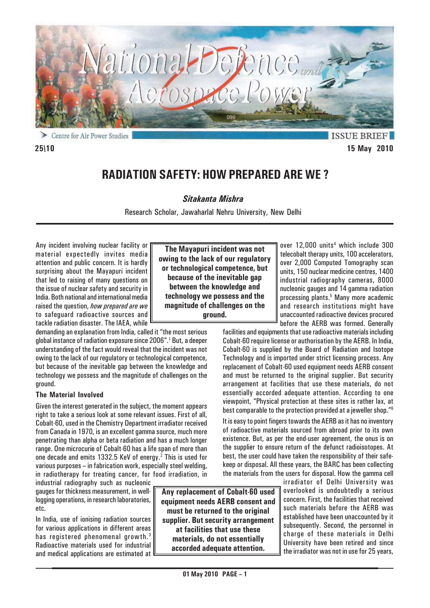

**ISSUE BRIEF 25\10 15 May 2010**

# **RADIATION SAFETY: HOW PREPARED ARE WE ?**

*Sitakanta Mishra*

Research Scholar, Jawaharlal Nehru University, New Delhi

**The Mayapuri incident was not owing to the lack of our regulatory or technological competence, but because of the inevitable gap between the knowledge and technology we possess and the magnitude of challenges on the ground.**

Any incident involving nuclear facility or material expectedly invites media attention and public concern. It is hardly surprising about the Mayapuri incident that led to raising of many questions on the issue of nuclear safety and security in India. Both national and international media raised the question, *how prepared are we* to safeguard radioactive sources and tackle radiation disaster. The IAEA, while

demanding an explanation from India, called it "the most serious global instance of radiation exposure since 2006".<sup>1</sup> But, a deeper understanding of the fact would reveal that the incident was not owing to the lack of our regulatory or technological competence, but because of the inevitable gap between the knowledge and technology we possess and the magnitude of challenges on the ground.

### **The Material Involved**

Given the interest generated in the subject, the moment appears right to take a serious look at some relevant issues. First of all, Cobalt-60, used in the Chemistry Department irradiator received from Canada in 1970, is an excellent gamma source, much more penetrating than alpha or beta radiation and has a much longer range. One microcurie of Cobalt-60 has a life span of more than one decade and emits 1332.5 KeV of energy.<sup>2</sup> This is used for various purposes – in fabrication work, especially steel welding, in radiotherapy for treating cancer, for food irradiation, in

industrial radiography such as nucleonic gauges for thickness measurement, in welllogging operations, in research laboratories, etc.

In India, use of ionising radiation sources for various applications in different areas has registered phenomenal growth.<sup>3</sup> Radioactive materials used for industrial and medical applications are estimated at

**Any replacement of Cobalt-60 used equipment needs AERB consent and must be returned to the original supplier. But security arrangement at facilities that use these materials, do not essentially accorded adequate attention.**

over 12,000 units<sup>4</sup> which include 300 telecobalt therapy units, 100 accelerators, over 2,000 Computed Tomography scan units, 150 nuclear medicine centres, 1400 industrial radiography cameras, 8000 nucleonic gauges and 14 gamma radiation processing plants.<sup>5</sup> Many more academic and research institutions might have unaccounted radioactive devices procured before the AERB was formed. Generally

facilities and equipments that use radioactive materials including Cobalt-60 require license or authorisation by the AERB. In India, Cobalt-60 is supplied by the Board of Radiation and Isotope Technology and is imported under strict licensing process. Any replacement of Cobalt-60 used equipment needs AERB consent and must be returned to the original supplier. But security arrangement at facilities that use these materials, do not essentially accorded adequate attention. According to one viewpoint, "Physical protection at these sites is rather lax, at best comparable to the protection provided at a jeweller shop."6

It is easy to point fingers towards the AERB as it has no inventory of radioactive materials sourced from abroad prior to its own existence. But, as per the end-user agreement, the onus is on the supplier to ensure return of the defunct radioisotopes. At best, the user could have taken the responsibility of their safekeep or disposal. All these years, the BARC has been collecting the materials from the users for disposal. How the gamma cell

irradiator of Delhi University was overlooked is undoubtedly a serious concern. First, the facilities that received such materials before the AERB was established have been unaccounted by it subsequently. Second, the personnel in charge of these materials in Delhi University have been retired and since the irradiator was not in use for 25 years,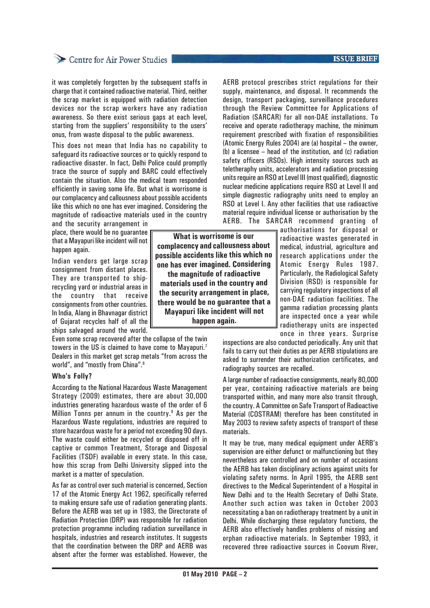## Centre for Air Power Studies

it was completely forgotten by the subsequent staffs in charge that it contained radioactive material. Third, neither the scrap market is equipped with radiation detection devices nor the scrap workers have any radiation awareness. So there exist serious gaps at each level, starting from the suppliers' responsibility to the users' onus, from waste disposal to the public awareness.

This does not mean that India has no capability to safeguard its radioactive sources or to quickly respond to radioactive disaster. In fact, Delhi Police could promptly trace the source of supply and BARC could effectively contain the situation. Also the medical team responded efficiently in saving some life. But what is worrisome is our complacency and callousness about possible accidents like this which no one has ever imagined. Considering the magnitude of radioactive materials used in the country

and the security arrangement in place, there would be no guarantee that a Mayapuri like incident will not happen again.

Indian vendors get large scrap consignment from distant places. They are transported to shiprecycling yard or industrial areas in the country that receive consignments from other countries. In India, Alang in Bhavnagar district of Gujarat recycles half of all the ships salvaged around the world.

Even some scrap recovered after the collapse of the twin towers in the US is claimed to have come to Mayapuri.7 Dealers in this market get scrap metals "from across the world", and "mostly from China".<sup>8</sup>

#### **Who's Folly?**

According to the National Hazardous Waste Management Strategy (2009) estimates, there are about 30,000 industries generating hazardous waste of the order of 6 Million Tonns per annum in the country.<sup>9</sup> As per the Hazardous Waste regulations, industries are required to store hazardous waste for a period not exceeding 90 days. The waste could either be recycled or disposed off in captive or common Treatment, Storage and Disposal Facilities (TSDF) available in every state. In this case, how this scrap from Delhi University slipped into the market is a matter of speculation.

As far as control over such material is concerned, Section 17 of the Atomic Energy Act 1962, specifically referred to making ensure safe use of radiation generating plants. Before the AERB was set up in 1983, the Directorate of Radiation Protection (DRP) was responsible for radiation protection programme including radiation surveillance in hospitals, industries and research institutes. It suggests that the coordination between the DRP and AERB was absent after the former was established. However, the

**What is worrisome is our complacency and callousness about possible accidents like this which no one has ever imagined. Considering the magnitude of radioactive materials used in the country and the security arrangement in place, there would be no guarantee that a Mayapuri like incident will not happen again.**

#### **ISSUE BRIEF**

AERB protocol prescribes strict regulations for their supply, maintenance, and disposal. It recommends the design, transport packaging, surveillance procedures through the Review Committee for Applications of Radiation (SARCAR) for all non-DAE installations. To receive and operate radiotherapy machine, the minimum requirement prescribed with fixation of responsibilities (Atomic Energy Rules 2004) are (a) hospital – the owner, (b) a licensee – head of the institution, and (c) radiation safety officers (RSOs). High intensity sources such as teletheraphy units, accelerators and radiation processing units require an RSO at Level III (most qualified), diagnostic nuclear medicine applications require RSO at Level II and simple diagnostic radiography units need to employ an RSO at Level I. Any other facilities that use radioactive material require individual license or authorisation by the AERB. The SARCAR recommend granting of

authorisations for disposal or radioactive wastes generated in medical, industrial, agriculture and research applications under the Atomic Energy Rules 1987. Particularly, the Radiological Safety Division (RSD) is responsible for carrying regulatory inspections of all non-DAE radiation facilities. The gamma radiation processing plants are inspected once a year while radiotherapy units are inspected once in three years. Surprise

inspections are also conducted periodically. Any unit that fails to carry out their duties as per AERB stipulations are asked to surrender their authorization certificates, and radiography sources are recalled.

A large number of radioactive consignments, nearly 80,000 per year, containing radioactive materials are being transported within, and many more also transit through, the country. A Committee on Safe Transport of Radioactive Material (COSTRAM) therefore has been constituted in May 2003 to review safety aspects of transport of these materials.

It may be true, many medical equipment under AERB's supervision are either defunct or malfunctioning but they nevertheless are controlled and on number of occasions the AERB has taken disciplinary actions against units for violating safety norms. In April 1995, the AERB sent directives to the Medical Superintendent of a Hospital in New Delhi and to the Health Secretary of Delhi State. Another such action was taken in October 2003 necessitating a ban on radiotherapy treatment by a unit in Delhi. While discharging these regulatory functions, the AERB also effectively handles problems of missing and orphan radioactive materials. In September 1993, it recovered three radioactive sources in Coovum River,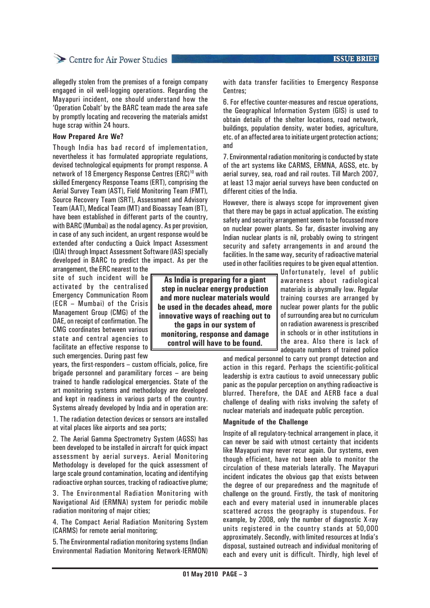### Centre for Air Power Studies

allegedly stolen from the premises of a foreign company engaged in oil well-logging operations. Regarding the Mayapuri incident, one should understand how the 'Operation Cobalt' by the BARC team made the area safe by promptly locating and recovering the materials amidst huge scrap within 24 hours.

#### **How Prepared Are We?**

Though India has bad record of implementation, nevertheless it has formulated appropriate regulations, devised technological equipments for prompt response. A network of 18 Emergency Response Centres (ERC)<sup>10</sup> with skilled Emergency Response Teams (ERT), comprising the Aerial Survey Team (AST), Field Monitoring Team (FMT), Source Recovery Team (SRT), Assessment and Advisory Team (AAT), Medical Team (MT) and Bioassay Team (BT), have been established in different parts of the country, with BARC (Mumbai) as the nodal agency. As per provision, in case of any such incident, an urgent response would be extended after conducting a Quick Impact Assessment (QIA) through Impact Assessment Software (IAS) specially developed in BARC to predict the impact. As per the

arrangement, the ERC nearest to the site of such incident will be activated by the centralised Emergency Communication Room (ECR – Mumbai) of the Crisis Management Group (CMG) of the DAE, on receipt of confirmation. The CMG coordinates between various state and central agencies to facilitate an effective response to such emergencies. During past few

years, the first-responders – custom officials, police, fire brigade personnel and paramilitary forces – are being trained to handle radiological emergencies. State of the art monitoring systems and methodology are developed and kept in readiness in various parts of the country. Systems already developed by India and in operation are:

1. The radiation detection devices or sensors are installed at vital places like airports and sea ports;

2. The Aerial Gamma Spectrometry System (AGSS) has been developed to be installed in aircraft for quick impact assessment by aerial surveys. Aerial Monitoring Methodology is developed for the quick assessment of large scale ground contamination, locating and identifying radioactive orphan sources, tracking of radioactive plume;

3. The Environmental Radiation Monitoring with Navigational Aid (ERMNA) system for periodic mobile radiation monitoring of major cities;

4. The Compact Aerial Radiation Monitoring System (CARMS) for remote aerial monitoring;

5. The Environmental radiation monitoring systems (Indian Environmental Radiation Monitoring Network-IERMON)

**ISSUE BRIEF** 

with data transfer facilities to Emergency Response Centres;

6. For effective counter-measures and rescue operations, the Geographical Information System (GIS) is used to obtain details of the shelter locations, road network, buildings, population density, water bodies, agriculture, etc. of an affected area to initiate urgent protection actions; and

7. Environmental radiation monitoring is conducted by state of the art systems like CARMS, ERMNA, AGSS, etc. by aerial survey, sea, road and rail routes. Till March 2007, at least 13 major aerial surveys have been conducted on different cities of the India.

However, there is always scope for improvement given that there may be gaps in actual application. The existing safety and security arrangement seem to be focussed more on nuclear power plants. So far, disaster involving any Indian nuclear plants is nil, probably owing to stringent security and safety arrangements in and around the facilities. In the same way, security of radioactive material used in other facilities requires to be given equal attention.

> Unfortunately, level of public awareness about radiological materials is abysmally low. Regular training courses are arranged by nuclear power plants for the public of surrounding area but no curriculum on radiation awareness is prescribed in schools or in other institutions in the area. Also there is lack of adequate numbers of trained police

and medical personnel to carry out prompt detection and action in this regard. Perhaps the scientific-political leadership is extra cautious to avoid unnecessary public panic as the popular perception on anything radioactive is blurred. Therefore, the DAE and AERB face a dual challenge of dealing with risks involving the safety of nuclear materials and inadequate public perception.

#### **Magnitude of the Challenge**

Inspite of all regulatory-technical arrangement in place, it can never be said with utmost certainty that incidents like Mayapuri may never recur again. Our systems, even though efficient, have not been able to monitor the circulation of these materials laterally. The Mayapuri incident indicates the obvious gap that exists between the degree of our preparedness and the magnitude of challenge on the ground. Firstly, the task of monitoring each and every material used in innumerable places scattered across the geography is stupendous. For example, by 2008, only the number of diagnostic X-ray units registered in the country stands at 50,000 approximately. Secondly, with limited resources at India's disposal, sustained outreach and individual monitoring of each and every unit is difficult. Thirdly, high level of

**As India is preparing for a giant step in nuclear energy production and more nuclear materials would be used in the decades ahead, more innovative ways of reaching out to the gaps in our system of monitoring, response and damage control will have to be found.**